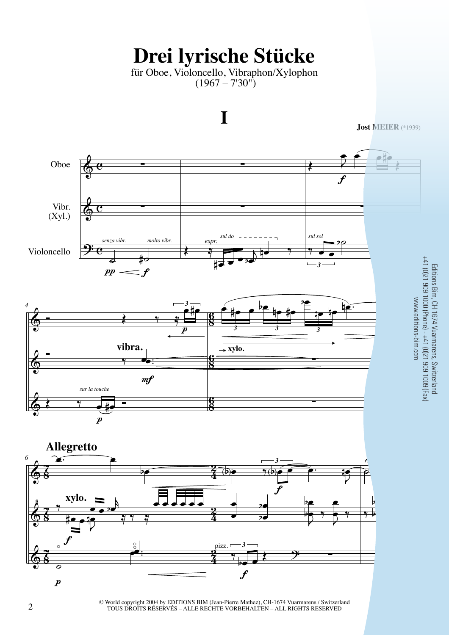## **Drei lyrische Stücke**

für Oboe, Violoncello, Vibraphon/Xylophon  $(1967 - 730)$ 



© World copyright 2004 by EDITIONS BIM (Jean-Pierre Mathez), CH-1674 Vuarmarens / Switzerland<br>TOUS DROITS RÉSERVÉS – ALLE RECHTE VORBEHALTEN – ALL RIGHTS RESERVED TOUS DROITS RÉSERVÉS – ALLE RECHTE VORBEHALTEN – ALL RIGHTS RESERVED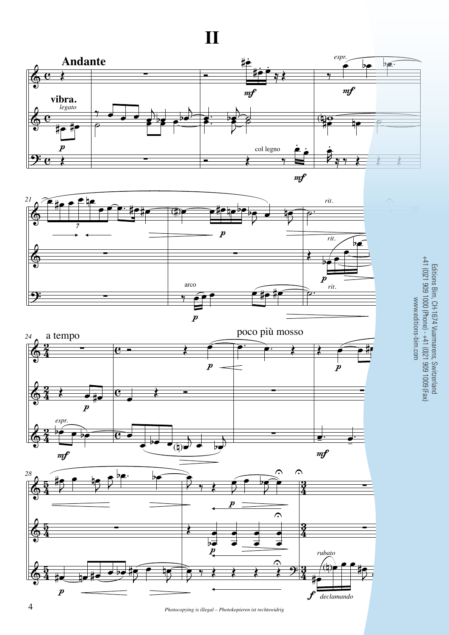& & <u>9:</u>  $\overline{\mathbf{e}}$  $\overline{\mathbf{e}}$  $\overline{\mathbf{e}}$ Œ œ# œ# Œ **Andante**  $\boldsymbol{p}$ *legato* **vibra.** !!!  $\frac{1}{\rho}$  e  $e^{i\theta}$  $\frac{1}{2}$  $\frac{1}{2}$   $\frac{1}{2}$ œb !!! Ó œ# . œ#  $\frac{1}{\cdot}$ .  $\overrightarrow{y}$  $\frac{e}{\sqrt{2}}$  $\overrightarrow{e}$   $\overrightarrow{e}$  $\overrightarrow{z}$  $\overrightarrow{a}$ œ <u>.</u><br>م .  $m f$ col legno  $m f$ ‰  $b$   $\epsilon$ .  $\frac{1}{4}$ Z .<br>B .  $7$   $7$   $8$  $m f$ *espr.* **II**







 $M$  $\overline{\phantom{a}}$ **1.com** nm.c Editions Bim, CH-1674 Vuarmarens, Switzerland +41 (0)21 909 1000 (Phone) - +41 (0)21 909 1009 (Fax) www.editions-bim.com